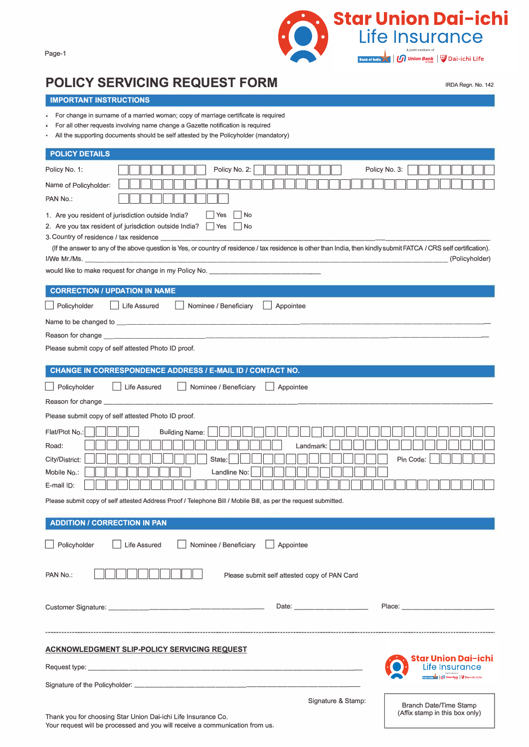

#### Page-1

# **POLICY SERVICING REQUEST FORM**

**IRDA Regn. No. 142** 

### **IMPORTANT INSTRUCTIONS**

For change in surname of a married woman; copy of marriage certificate is required

For all other requests involving name change a Gazette notification is required

Your request will be processed and you will receive a communication from us.

All the supporting documents should be self attested by the Policyholder (mandatory)

| <b>POLICY DETAILS</b>                                                                                                                                                                                                                                                 |  |
|-----------------------------------------------------------------------------------------------------------------------------------------------------------------------------------------------------------------------------------------------------------------------|--|
| Policy No. 2:<br>Policy No. 1:<br>Policy No. 3:                                                                                                                                                                                                                       |  |
| Name of Policyholder:                                                                                                                                                                                                                                                 |  |
| PAN No.:                                                                                                                                                                                                                                                              |  |
| 1. Are you resident of jurisdiction outside India?<br>Yes<br>  No                                                                                                                                                                                                     |  |
| 2. Are you tax resident of jurisdiction outside India?     Yes     No                                                                                                                                                                                                 |  |
| 3. Country of residence / tax residence                                                                                                                                                                                                                               |  |
| (If the answer to any of the above question is Yes, or country of residence / tax residence is other than India, then kindly submit FATCA / CRS self certification).                                                                                                  |  |
| I/We Mr./Ms.<br>(Policyholder)                                                                                                                                                                                                                                        |  |
| would like to make request for change in my Policy No. _________________________                                                                                                                                                                                      |  |
| <b>CORRECTION / UPDATION IN NAME</b>                                                                                                                                                                                                                                  |  |
| Appointee<br>Policyholder<br><b>Life Assured</b><br>Nominee / Beneficiary                                                                                                                                                                                             |  |
|                                                                                                                                                                                                                                                                       |  |
| Reason for change the state of the state of the state of the state of the state of the state of the state of the state of the state of the state of the state of the state of the state of the state of the state of the state                                        |  |
| Please submit copy of self attested Photo ID proof.                                                                                                                                                                                                                   |  |
| CHANGE IN CORRESPONDENCE ADDRESS / E-MAIL ID / CONTACT NO.                                                                                                                                                                                                            |  |
| Policyholder<br><b>Life Assured</b><br>Nominee / Beneficiary<br>Appointee                                                                                                                                                                                             |  |
| Reason for change                                                                                                                                                                                                                                                     |  |
| Please submit copy of self attested Photo ID proof.                                                                                                                                                                                                                   |  |
| Flat/Plot No.:<br><b>Building Name:</b>                                                                                                                                                                                                                               |  |
| Landmark:<br>Road:                                                                                                                                                                                                                                                    |  |
| Pin Code:<br>City/District:<br>State:                                                                                                                                                                                                                                 |  |
| Landline No:<br>Mobile No.:                                                                                                                                                                                                                                           |  |
| E-mail ID:                                                                                                                                                                                                                                                            |  |
| Please submit copy of self attested Address Proof / Telephone Bill / Mobile Bill, as per the request submitted.                                                                                                                                                       |  |
|                                                                                                                                                                                                                                                                       |  |
| <b>ADDITION / CORRECTION IN PAN</b>                                                                                                                                                                                                                                   |  |
| Policyholder<br>Nominee / Beneficiary<br>Life Assured<br>Appointee                                                                                                                                                                                                    |  |
|                                                                                                                                                                                                                                                                       |  |
| PAN No.:<br>Please submit self attested copy of PAN Card                                                                                                                                                                                                              |  |
|                                                                                                                                                                                                                                                                       |  |
| Place: The contract of the contract of the contract of the contract of the contract of the contract of the contract of the contract of the contract of the contract of the contract of the contract of the contract of the con<br>Date: <u>_______________</u> ______ |  |
|                                                                                                                                                                                                                                                                       |  |
|                                                                                                                                                                                                                                                                       |  |
| <b>ACKNOWLEDGMENT SLIP-POLICY SERVICING REQUEST</b>                                                                                                                                                                                                                   |  |
| Star Union Dai-ichi<br>Life Insurance                                                                                                                                                                                                                                 |  |
| <b>Dai-ichi Life</b>                                                                                                                                                                                                                                                  |  |
|                                                                                                                                                                                                                                                                       |  |
| Signature & Stamp:<br><b>Branch Date/Time Stamp</b>                                                                                                                                                                                                                   |  |
| (Affix stamp in this box only)<br>Thank you for choosing Star Union Dai-ichi Life Insurance Co.<br>Your request will be processed and you will receive a communication from us                                                                                        |  |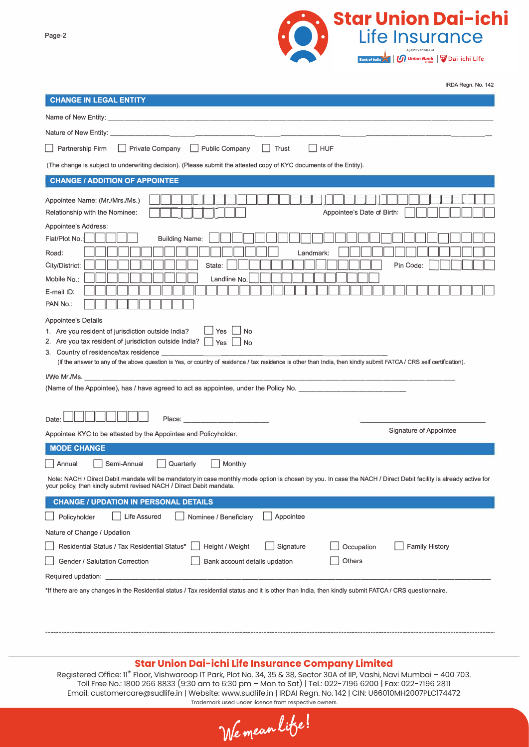

| IRDA Regn. No. 142 |  |
|--------------------|--|

| <b>CHANGE IN LEGAL ENTITY</b>                                                                                                                                                                                                                                                                                                                                                                                                                                                                                                                                                                                                                                                                                                    |  |  |  |  |  |
|----------------------------------------------------------------------------------------------------------------------------------------------------------------------------------------------------------------------------------------------------------------------------------------------------------------------------------------------------------------------------------------------------------------------------------------------------------------------------------------------------------------------------------------------------------------------------------------------------------------------------------------------------------------------------------------------------------------------------------|--|--|--|--|--|
|                                                                                                                                                                                                                                                                                                                                                                                                                                                                                                                                                                                                                                                                                                                                  |  |  |  |  |  |
|                                                                                                                                                                                                                                                                                                                                                                                                                                                                                                                                                                                                                                                                                                                                  |  |  |  |  |  |
| Private Company Public Company<br>$\Box$ HUF<br>  Partnership Firm<br>    Trust                                                                                                                                                                                                                                                                                                                                                                                                                                                                                                                                                                                                                                                  |  |  |  |  |  |
| (The change is subject to underwriting decision). (Please submit the attested copy of KYC documents of the Entity).                                                                                                                                                                                                                                                                                                                                                                                                                                                                                                                                                                                                              |  |  |  |  |  |
| <b>CHANGE / ADDITION OF APPOINTEE</b>                                                                                                                                                                                                                                                                                                                                                                                                                                                                                                                                                                                                                                                                                            |  |  |  |  |  |
| Appointee Name: (Mr./Mrs./Ms.)<br>Relationship with the Nominee:<br>Appointee's Date of Birth:                                                                                                                                                                                                                                                                                                                                                                                                                                                                                                                                                                                                                                   |  |  |  |  |  |
| Appointee's Address:<br>Flat/Plot No.:<br><b>Building Name:</b><br>Road:<br>Landmark:<br>State:<br>Pin Code:<br>City/District:<br>Mobile No.:<br>Landline No.<br>E-mail ID:<br>PAN No.:<br><b>Appointee's Details</b><br>_  Yes │ │No<br>1. Are you resident of jurisdiction outside India?<br>2. Are you tax resident of jurisdiction outside India?<br>  Yes     No<br>3. Country of residence/tax residence ________<br>(If the answer to any of the above question is Yes, or country of residence / tax residence is other than India, then kindly submit FATCA/ CRS self certification).<br>I/We Mr./Ms.<br>(Name of the Appointee), has / have agreed to act as appointee, under the Policy No. _________________________ |  |  |  |  |  |
| Place: The contract of the contract of the contract of the contract of the contract of the contract of the contract of the contract of the contract of the contract of the contract of the contract of the contract of the con<br>Date:                                                                                                                                                                                                                                                                                                                                                                                                                                                                                          |  |  |  |  |  |
| Signature of Appointee<br>Appointee KYC to be attested by the Appointee and Policyholder.                                                                                                                                                                                                                                                                                                                                                                                                                                                                                                                                                                                                                                        |  |  |  |  |  |
| <b>MODE CHANGE</b>                                                                                                                                                                                                                                                                                                                                                                                                                                                                                                                                                                                                                                                                                                               |  |  |  |  |  |
| Monthly<br>  Annual<br>Semi-Annual<br>Quarterly<br>Note: NACH / Direct Debit mandate will be mandatory in case monthly mode option is chosen by you. In case the NACH / Direct Debit facility is already active for<br>your policy, then kindly submit revised NACH / Direct Debit mandate.                                                                                                                                                                                                                                                                                                                                                                                                                                      |  |  |  |  |  |
| <b>CHANGE / UPDATION IN PERSONAL DETAILS</b>                                                                                                                                                                                                                                                                                                                                                                                                                                                                                                                                                                                                                                                                                     |  |  |  |  |  |
| Appointee<br>Policyholder<br>Life Assured<br>Nominee / Beneficiary                                                                                                                                                                                                                                                                                                                                                                                                                                                                                                                                                                                                                                                               |  |  |  |  |  |
| Nature of Change / Updation<br>Residential Status / Tax Residential Status*<br><b>Family History</b><br>Height / Weight<br>Signature<br>Occupation<br>Others<br>Gender / Salutation Correction<br>Bank account details updation<br>Required updation: _                                                                                                                                                                                                                                                                                                                                                                                                                                                                          |  |  |  |  |  |
| *If there are any changes in the Residential status / Tax residential status and it is other than India, then kindly submit FATCA / CRS questionnaire.                                                                                                                                                                                                                                                                                                                                                                                                                                                                                                                                                                           |  |  |  |  |  |

# **Star Union Dai-ichi Life Insurance Company Limited**

Registered Office: 11<sup>th</sup> Floor, Vishwaroop IT Park, Plot No. 34, 35 & 38, Sector 30A of IIP, Vashi, Navi Mumbai - 400 703. Toll Free No.: 1800 266 8833 (9:30 am to 6:30 pm – Mon to Sat) | Tel.: 022-7196 6200 | Fax: 022-7196 2811 Email: customercare@sudlife.in | Website: www.sudlife.in | IRDAI Regn. No. 142 | CIN: U66010MH2007PLC174472 Trademark used under licence from respective owners.

We mean litse!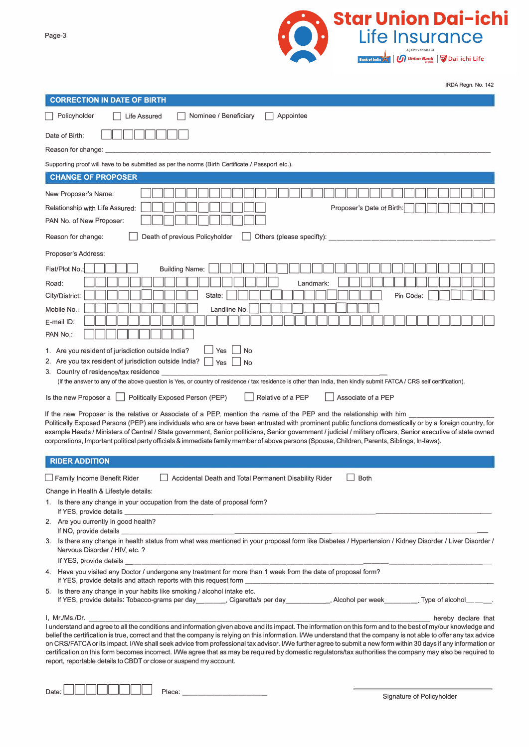

**IRDA Regn. No. 142** 

| <b>CORRECTION IN DATE OF BIRTH</b>                                                                                                                                                                                                                                                                                                                                                                                                                                                                                                                                                                                                                                                                                                                                                                                                                                                                                                                                                                                                                                                                                                                                                                                                          |
|---------------------------------------------------------------------------------------------------------------------------------------------------------------------------------------------------------------------------------------------------------------------------------------------------------------------------------------------------------------------------------------------------------------------------------------------------------------------------------------------------------------------------------------------------------------------------------------------------------------------------------------------------------------------------------------------------------------------------------------------------------------------------------------------------------------------------------------------------------------------------------------------------------------------------------------------------------------------------------------------------------------------------------------------------------------------------------------------------------------------------------------------------------------------------------------------------------------------------------------------|
| Policyholder<br>Nominee / Beneficiary<br>Appointee<br>Life Assured                                                                                                                                                                                                                                                                                                                                                                                                                                                                                                                                                                                                                                                                                                                                                                                                                                                                                                                                                                                                                                                                                                                                                                          |
| Date of Birth:<br>Reason for change:                                                                                                                                                                                                                                                                                                                                                                                                                                                                                                                                                                                                                                                                                                                                                                                                                                                                                                                                                                                                                                                                                                                                                                                                        |
| Supporting proof will have to be submitted as per the norms (Birth Certificate / Passport etc.).                                                                                                                                                                                                                                                                                                                                                                                                                                                                                                                                                                                                                                                                                                                                                                                                                                                                                                                                                                                                                                                                                                                                            |
| <b>CHANGE OF PROPOSER</b>                                                                                                                                                                                                                                                                                                                                                                                                                                                                                                                                                                                                                                                                                                                                                                                                                                                                                                                                                                                                                                                                                                                                                                                                                   |
| New Proposer's Name:                                                                                                                                                                                                                                                                                                                                                                                                                                                                                                                                                                                                                                                                                                                                                                                                                                                                                                                                                                                                                                                                                                                                                                                                                        |
| Proposer's Date of Birth:<br>Relationship with Life Assured:<br>PAN No. of New Proposer:                                                                                                                                                                                                                                                                                                                                                                                                                                                                                                                                                                                                                                                                                                                                                                                                                                                                                                                                                                                                                                                                                                                                                    |
| Death of previous Policyholder<br>Others (please specifty): _________<br>Reason for change:                                                                                                                                                                                                                                                                                                                                                                                                                                                                                                                                                                                                                                                                                                                                                                                                                                                                                                                                                                                                                                                                                                                                                 |
| Proposer's Address:                                                                                                                                                                                                                                                                                                                                                                                                                                                                                                                                                                                                                                                                                                                                                                                                                                                                                                                                                                                                                                                                                                                                                                                                                         |
| Flat/Plot No.:<br><b>Building Name:</b><br>Landmark:<br>Road:<br>City/District:<br>State:<br>Pin Code:<br>Mobile No.:<br>Landline No<br>E-mail ID:<br>PAN No.:<br>Yes<br>1. Are you resident of jurisdiction outside India?<br>No<br>2. Are you tax resident of jurisdiction outside India?<br>Yes<br>No<br>3. Country of residence/tax residence<br>(If the answer to any of the above question is Yes, or country of residence / tax residence is other than India, then kindly submit FATCA / CRS self certification).<br>Politically Exposed Person (PEP)<br>Is the new Proposer a  <br>Relative of a PEP<br>Associate of a PEP<br>If the new Proposer is the relative or Associate of a PEP, mention the name of the PEP and the relationship with him<br>Politically Exposed Persons (PEP) are individuals who are or have been entrusted with prominent public functions domestically or by a foreign country, for<br>example Heads / Ministers of Central / State government, Senior politicians, Senior government / judicial / military officers, Senior executive of state owned<br>corporations, Important political party officials & immediate family member of above persons (Spouse, Children, Parents, Siblings, In-laws). |
| <b>RIDER ADDITION</b>                                                                                                                                                                                                                                                                                                                                                                                                                                                                                                                                                                                                                                                                                                                                                                                                                                                                                                                                                                                                                                                                                                                                                                                                                       |
| <b>Semily Income Benefit Rider</b> Nuller<br>Accidental Death and Total Permanent Disability Rider<br><b>Both</b><br>Change in Health & Lifestyle details:                                                                                                                                                                                                                                                                                                                                                                                                                                                                                                                                                                                                                                                                                                                                                                                                                                                                                                                                                                                                                                                                                  |
| 1. Is there any change in your occupation from the date of proposal form?<br>If YES, provide details _______                                                                                                                                                                                                                                                                                                                                                                                                                                                                                                                                                                                                                                                                                                                                                                                                                                                                                                                                                                                                                                                                                                                                |
| 2. Are you currently in good health?<br>If NO, provide details _______                                                                                                                                                                                                                                                                                                                                                                                                                                                                                                                                                                                                                                                                                                                                                                                                                                                                                                                                                                                                                                                                                                                                                                      |
| 3. Is there any change in health status from what was mentioned in your proposal form like Diabetes / Hypertension / Kidney Disorder / Liver Disorder /<br>Nervous Disorder / HIV, etc. ?                                                                                                                                                                                                                                                                                                                                                                                                                                                                                                                                                                                                                                                                                                                                                                                                                                                                                                                                                                                                                                                   |
| If YES, provide details                                                                                                                                                                                                                                                                                                                                                                                                                                                                                                                                                                                                                                                                                                                                                                                                                                                                                                                                                                                                                                                                                                                                                                                                                     |
| 4. Have you visited any Doctor / undergone any treatment for more than 1 week from the date of proposal form?<br>If YES, provide details and attach reports with this request form                                                                                                                                                                                                                                                                                                                                                                                                                                                                                                                                                                                                                                                                                                                                                                                                                                                                                                                                                                                                                                                          |
| 5. Is there any change in your habits like smoking / alcohol intake etc.<br>If YES, provide details: Tobacco-grams per day _______, Cigarette/s per day _________, Alcohol per week ______, Type of alcohol _____.                                                                                                                                                                                                                                                                                                                                                                                                                                                                                                                                                                                                                                                                                                                                                                                                                                                                                                                                                                                                                          |
| I, Mr./Ms./Dr.<br>hereby declare that<br>I understand and agree to all the conditions and information given above and its impact. The information on this form and to the best of my/our knowledge and<br>belief the certification is true, correct and that the company is relying on this information. I/We understand that the company is not able to offer any tax advice<br>on CRS/FATCA or its impact. I/We shall seek advice from professional tax advisor. I/We further agree to submit a new form within 30 days if any information or<br>certification on this form becomes incorrect. I/We agree that as may be required by domestic regulators/tax authorities the company may also be required to<br>report, reportable details to CBDT or close or suspend my account.                                                                                                                                                                                                                                                                                                                                                                                                                                                        |

Date: <u>Depends Controlling Date:</u> Date: Depends on the District Policy Place: <u>New York: Alternative</u> Controller